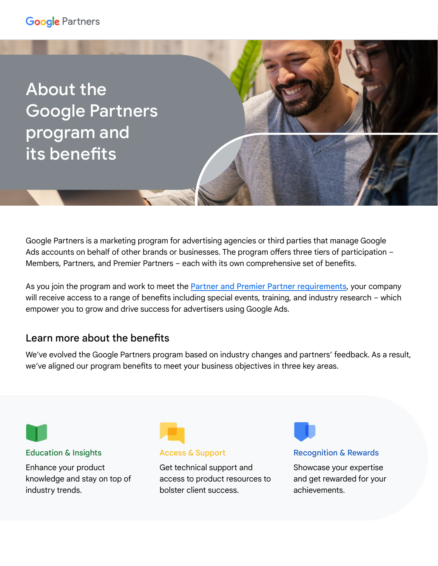## **Google Partners**

About the Google Partners program and its benefits

Google Partners is a marketing program for advertising agencies or third parties that manage Google Ads accounts on behalf of other brands or businesses. The program offers three tiers of participation – Members, Partners, and Premier Partners – each with its own comprehensive set of benefits.

As you join the program and work to meet the **[Partner and Premier Partner requirements](https://support.google.com/google-ads/answer/9702452?hl=en&ref_topic=9028881)**, your company will receive access to a range of benefits including special events, training, and industry research – which empower you to grow and drive success for advertisers using Google Ads.

## Learn more about the benefits

We've evolved the Google Partners program based on industry changes and partners' feedback. As a result, we've aligned our program benefits to meet your business objectives in three key areas.

### Education & Insights

Enhance your product knowledge and stay on top of industry trends.



#### Access & Support

Get technical support and access to product resources to bolster client success.

Recognition & Rewards

Showcase your expertise and get rewarded for your achievements.